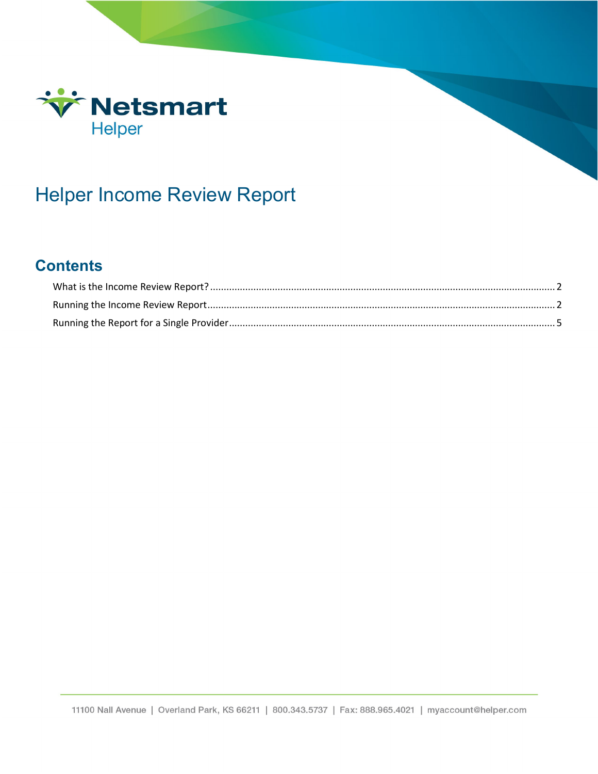

# **Helper Income Review Report**

#### **Contents**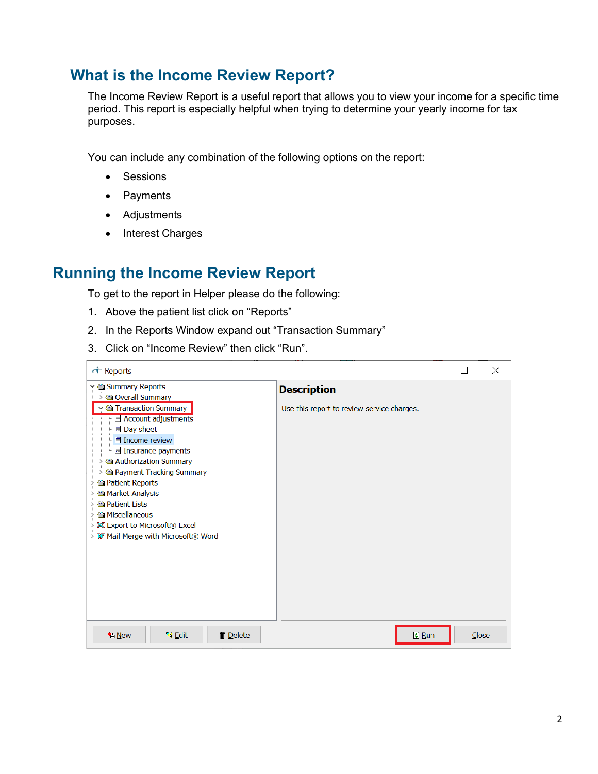## <span id="page-1-0"></span>**What is the Income Review Report?**

The Income Review Report is a useful report that allows you to view your income for a specific time period. This report is especially helpful when trying to determine your yearly income for tax purposes.

You can include any combination of the following options on the report:

- Sessions
- Payments
- Adjustments
- Interest Charges

#### <span id="page-1-1"></span>**Running the Income Review Report**

To get to the report in Helper please do the following:

- 1. Above the patient list click on "Reports"
- 2. In the Reports Window expand out "Transaction Summary"
- 3. Click on "Income Review" then click "Run".

| $\uparrow$ Reports                                                                     |                                            |              |       | X |
|----------------------------------------------------------------------------------------|--------------------------------------------|--------------|-------|---|
| Y < Summary Reports<br>> < Overall Summary                                             | <b>Description</b>                         |              |       |   |
| v < Transaction Summary<br><b>Account adjustments</b>                                  | Use this report to review service charges. |              |       |   |
| <b>同 Day sheet</b><br>Income review                                                    |                                            |              |       |   |
| - insurance payments<br>Authorization Summary<br>>                                     |                                            |              |       |   |
| > <a payment="" summary<="" td="" tracking=""><td></td><td></td><td></td><td></td></a> |                                            |              |       |   |
| Patient Reports<br><b>Market Analysis</b>                                              |                                            |              |       |   |
| ▶ <sup>△</sup> Patient Lists<br>> < Miscellaneous                                      |                                            |              |       |   |
| <b>X</b> Export to Microsoft® Excel<br><b>W</b> Mail Merge with Microsoft® Word        |                                            |              |       |   |
|                                                                                        |                                            |              |       |   |
|                                                                                        |                                            |              |       |   |
|                                                                                        |                                            |              |       |   |
|                                                                                        |                                            |              |       |   |
| 图 Edit<br><b>極 New</b><br><b>ff</b> Delete                                             |                                            | <b>D</b> Run | Close |   |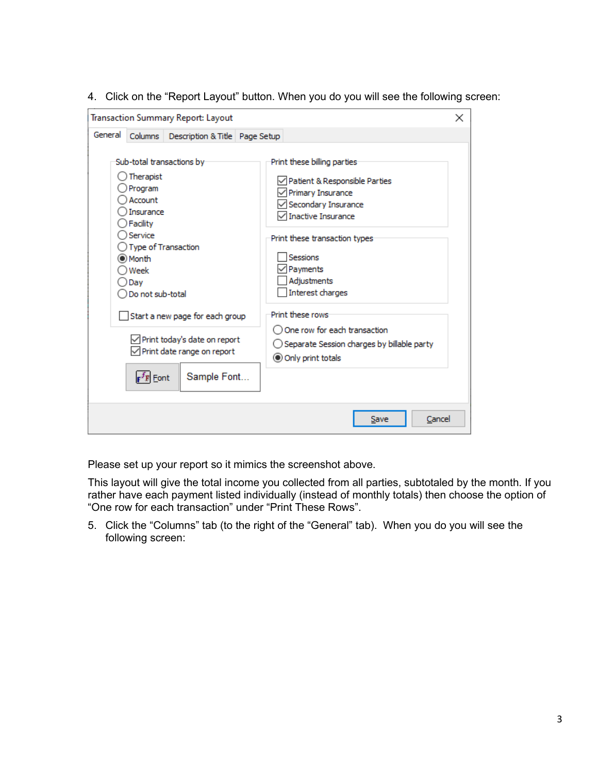4. Click on the "Report Layout" button. When you do you will see the following screen:



Please set up your report so it mimics the screenshot above.

This layout will give the total income you collected from all parties, subtotaled by the month. If you rather have each payment listed individually (instead of monthly totals) then choose the option of "One row for each transaction" under "Print These Rows".

5. Click the "Columns" tab (to the right of the "General" tab). When you do you will see the following screen: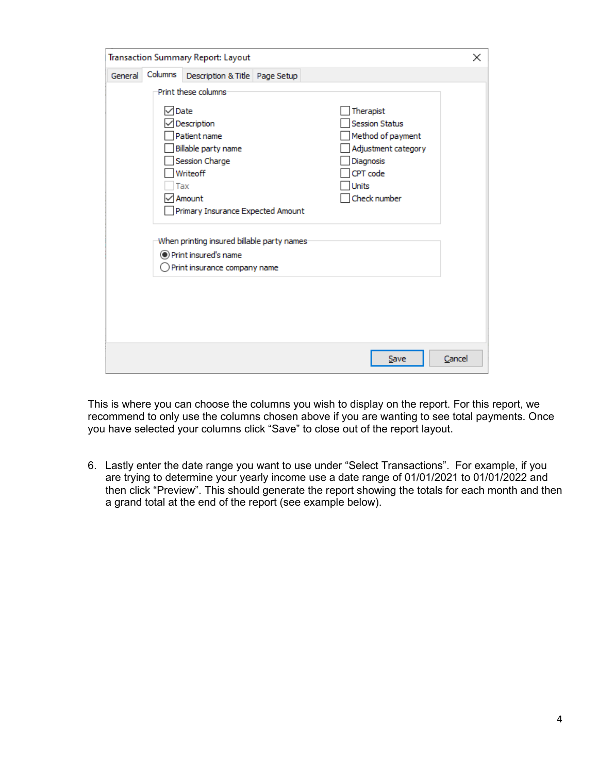|                    | Transaction Summary Report: Layout                                                                                                                   | ×                                                                                                                                       |
|--------------------|------------------------------------------------------------------------------------------------------------------------------------------------------|-----------------------------------------------------------------------------------------------------------------------------------------|
| Columns<br>General | Description & Title Page Setup                                                                                                                       |                                                                                                                                         |
|                    | Print these columns:<br>$\vee$ Date<br>Description<br>Patient name<br>Billable party name<br>Session Charge<br>Writeoff<br>Tax<br>Amount             | Therapist<br><b>Session Status</b><br>Method of payment<br>Adjustment category<br>Diagnosis<br>CPT code<br><b>Units</b><br>Check number |
|                    | Primary Insurance Expected Amount<br>When printing insured billable party names:<br>◉ Print insured's name<br>$\supset$ Print insurance company name |                                                                                                                                         |
|                    |                                                                                                                                                      | Cancel<br>Save                                                                                                                          |

This is where you can choose the columns you wish to display on the report. For this report, we recommend to only use the columns chosen above if you are wanting to see total payments. Once you have selected your columns click "Save" to close out of the report layout.

6. Lastly enter the date range you want to use under "Select Transactions". For example, if you are trying to determine your yearly income use a date range of 01/01/2021 to 01/01/2022 and then click "Preview". This should generate the report showing the totals for each month and then a grand total at the end of the report (see example below).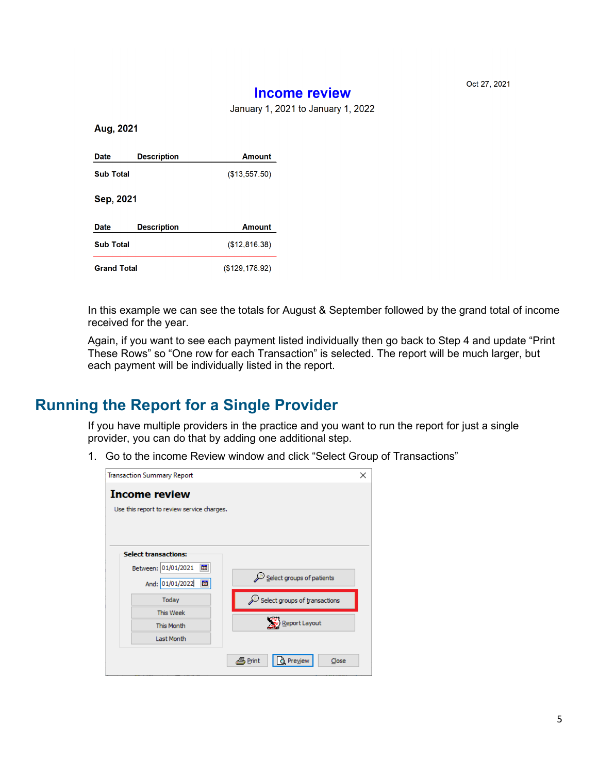#### **Income review**

Oct 27, 2021

January 1, 2021 to January 1, 2022

Aug, 2021

| <b>Date</b>      | <b>Description</b> | <b>Amount</b> |
|------------------|--------------------|---------------|
| <b>Sub Total</b> |                    | (\$13,557.50) |
| Sep, 2021        |                    |               |
| Date             | <b>Description</b> | Amount        |
| <b>Sub Total</b> |                    | (\$12,816.38) |
|                  |                    |               |

In this example we can see the totals for August & September followed by the grand total of income received for the year.

Again, if you want to see each payment listed individually then go back to Step 4 and update "Print These Rows" so "One row for each Transaction" is selected. The report will be much larger, but each payment will be individually listed in the report.

### <span id="page-4-0"></span>**Running the Report for a Single Provider**

If you have multiple providers in the practice and you want to run the report for just a single provider, you can do that by adding one additional step.

1. Go to the income Review window and click "Select Group of Transactions"

| <b>Transaction Summary Report</b>                                                                                                 |                                                                                                        |  |
|-----------------------------------------------------------------------------------------------------------------------------------|--------------------------------------------------------------------------------------------------------|--|
| <b>Income review</b><br>Use this report to review service charges.                                                                |                                                                                                        |  |
| <b>Select transactions:</b><br>霦<br>Between: 01/01/2021<br>關<br>And: 01/01/2022<br>Today<br>This Week<br>This Month<br>Last Month | $\mathscr{L}$ Select groups of patients<br>$\mathscr P$ Select groups of transactions<br>Report Layout |  |
|                                                                                                                                   | Preview<br>4 Print<br>Close                                                                            |  |